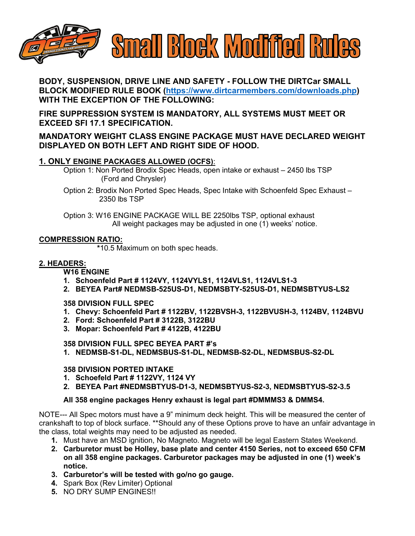

**BODY, SUSPENSION, DRIVE LINE AND SAFETY - FOLLOW THE DIRTCar SMALL BLOCK MODIFIED RULE BOOK [\(https://www.dirtcarmembers.com/downloads.php\)](https://www.dirtcarmembers.com/downloads.php) WITH THE EXCEPTION OF THE FOLLOWING:**

**FIRE SUPPRESSION SYSTEM IS MANDATORY, ALL SYSTEMS MUST MEET OR EXCEED SFI 17.1 SPECIFICATION.**

# **MANDATORY WEIGHT CLASS ENGINE PACKAGE MUST HAVE DECLARED WEIGHT DISPLAYED ON BOTH LEFT AND RIGHT SIDE OF HOOD.**

## **1. ONLY ENGINE PACKAGES ALLOWED (OCFS)**:

Option 1: Non Ported Brodix Spec Heads, open intake or exhaust – 2450 lbs TSP (Ford and Chrysler)

Option 2: Brodix Non Ported Spec Heads, Spec Intake with Schoenfeld Spec Exhaust – 2350 lbs TSP

Option 3: W16 ENGINE PACKAGE WILL BE 2250lbs TSP, optional exhaust All weight packages may be adjusted in one (1) weeks' notice.

### **COMPRESSION RATIO:**

 **\***10.5 Maximum on both spec heads.

## **2. HEADERS:**

**W16 ENGINE**

- **1. Schoenfeld Part # 1124VY, 1124VYLS1, 1124VLS1, 1124VLS1-3**
- **2. BEYEA Part# NEDMSB-525US-D1, NEDMSBTY-525US-D1, NEDMSBTYUS-LS2**

### **358 DIVISION FULL SPEC**

- **1. Chevy: Schoenfeld Part # 1122BV, 1122BVSH-3, 1122BVUSH-3, 1124BV, 1124BVU**
- **2. Ford: Schoenfeld Part # 3122B, 3122BU**
- **3. Mopar: Schoenfeld Part # 4122B, 4122BU**

### **358 DIVISION FULL SPEC BEYEA PART #'s**

**1. NEDMSB-S1-DL, NEDMSBUS-S1-DL, NEDMSB-S2-DL, NEDMSBUS-S2-DL**

### **358 DIVISION PORTED INTAKE**

- **1. Schoefeld Part # 1122VY, 1124 VY**
- **2. BEYEA Part #NEDMSBTYUS-D1-3, NEDMSBTYUS-S2-3, NEDMSBTYUS-S2-3.5**

### **All 358 engine packages Henry exhaust is legal part #DMMMS3 & DMMS4.**

NOTE--- All Spec motors must have a 9" minimum deck height. This will be measured the center of crankshaft to top of block surface. \*\*Should any of these Options prove to have an unfair advantage in the class, total weights may need to be adjusted as needed.

- **1.** Must have an MSD ignition, No Magneto. Magneto will be legal Eastern States Weekend.
- **2. Carburetor must be Holley, base plate and center 4150 Series, not to exceed 650 CFM on all 358 engine packages. Carburetor packages may be adjusted in one (1) week's notice.**
- **3. Carburetor's will be tested with go/no go gauge.**
- **4.** Spark Box (Rev Limiter) Optional
- **5.** NO DRY SUMP ENGINES!!